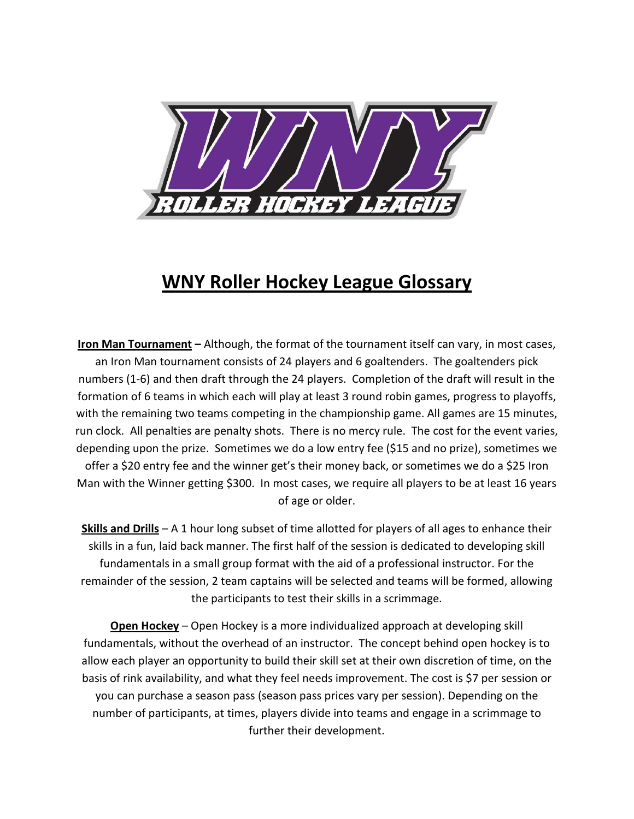

## **WNY Roller Hockey League Glossary**

**Iron Man Tournament –** Although, the format of the tournament itself can vary, in most cases, an Iron Man tournament consists of 24 players and 6 goaltenders. The goaltenders pick numbers (1-6) and then draft through the 24 players. Completion of the draft will result in the formation of 6 teams in which each will play at least 3 round robin games, progress to playoffs, with the remaining two teams competing in the championship game. All games are 15 minutes, run clock. All penalties are penalty shots. There is no mercy rule. The cost for the event varies, depending upon the prize. Sometimes we do a low entry fee (\$15 and no prize), sometimes we offer a \$20 entry fee and the winner get's their money back, or sometimes we do a \$25 Iron Man with the Winner getting \$300. In most cases, we require all players to be at least 16 years of age or older.

**Skills and Drills** – A 1 hour long subset of time allotted for players of all ages to enhance their skills in a fun, laid back manner. The first half of the session is dedicated to developing skill fundamentals in a small group format with the aid of a professional instructor. For the remainder of the session, 2 team captains will be selected and teams will be formed, allowing the participants to test their skills in a scrimmage.

**Open Hockey** – Open Hockey is a more individualized approach at developing skill fundamentals, without the overhead of an instructor. The concept behind open hockey is to allow each player an opportunity to build their skill set at their own discretion of time, on the basis of rink availability, and what they feel needs improvement. The cost is \$7 per session or you can purchase a season pass (season pass prices vary per session). Depending on the number of participants, at times, players divide into teams and engage in a scrimmage to further their development.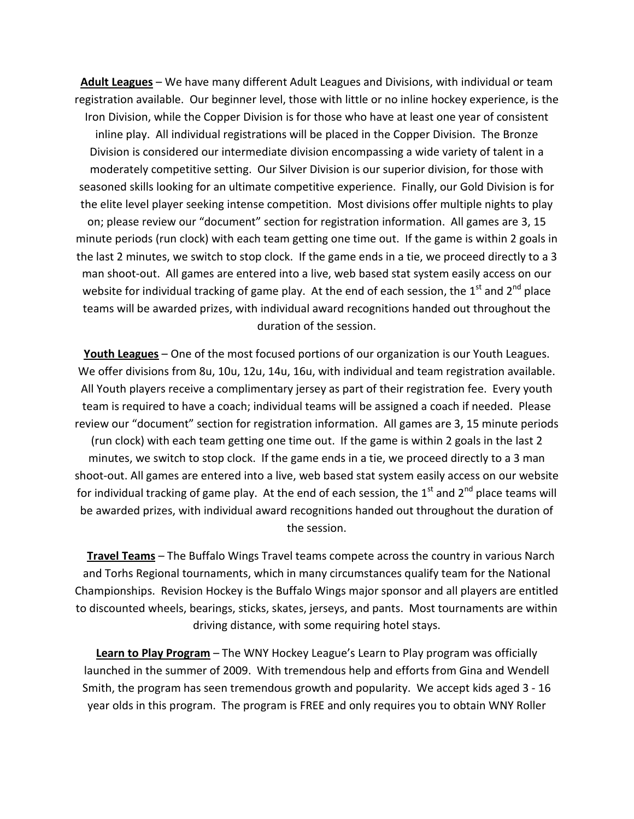**Adult Leagues** – We have many different Adult Leagues and Divisions, with individual or team registration available. Our beginner level, those with little or no inline hockey experience, is the Iron Division, while the Copper Division is for those who have at least one year of consistent inline play. All individual registrations will be placed in the Copper Division. The Bronze Division is considered our intermediate division encompassing a wide variety of talent in a moderately competitive setting. Our Silver Division is our superior division, for those with seasoned skills looking for an ultimate competitive experience. Finally, our Gold Division is for the elite level player seeking intense competition. Most divisions offer multiple nights to play on; please review our "document" section for registration information. All games are 3, 15 minute periods (run clock) with each team getting one time out. If the game is within 2 goals in the last 2 minutes, we switch to stop clock. If the game ends in a tie, we proceed directly to a 3 man shoot-out. All games are entered into a live, web based stat system easily access on our website for individual tracking of game play. At the end of each session, the  $1<sup>st</sup>$  and  $2<sup>nd</sup>$  place teams will be awarded prizes, with individual award recognitions handed out throughout the duration of the session.

**Youth Leagues** – One of the most focused portions of our organization is our Youth Leagues. We offer divisions from 8u, 10u, 12u, 14u, 16u, with individual and team registration available. All Youth players receive a complimentary jersey as part of their registration fee. Every youth team is required to have a coach; individual teams will be assigned a coach if needed. Please review our "document" section for registration information. All games are 3, 15 minute periods (run clock) with each team getting one time out. If the game is within 2 goals in the last 2 minutes, we switch to stop clock. If the game ends in a tie, we proceed directly to a 3 man shoot-out. All games are entered into a live, web based stat system easily access on our website for individual tracking of game play. At the end of each session, the  $1<sup>st</sup>$  and  $2<sup>nd</sup>$  place teams will be awarded prizes, with individual award recognitions handed out throughout the duration of the session.

 **Travel Teams** – The Buffalo Wings Travel teams compete across the country in various Narch and Torhs Regional tournaments, which in many circumstances qualify team for the National Championships. Revision Hockey is the Buffalo Wings major sponsor and all players are entitled to discounted wheels, bearings, sticks, skates, jerseys, and pants. Most tournaments are within driving distance, with some requiring hotel stays.

**Learn to Play Program** – The WNY Hockey League's Learn to Play program was officially launched in the summer of 2009. With tremendous help and efforts from Gina and Wendell Smith, the program has seen tremendous growth and popularity. We accept kids aged 3 - 16 year olds in this program. The program is FREE and only requires you to obtain WNY Roller